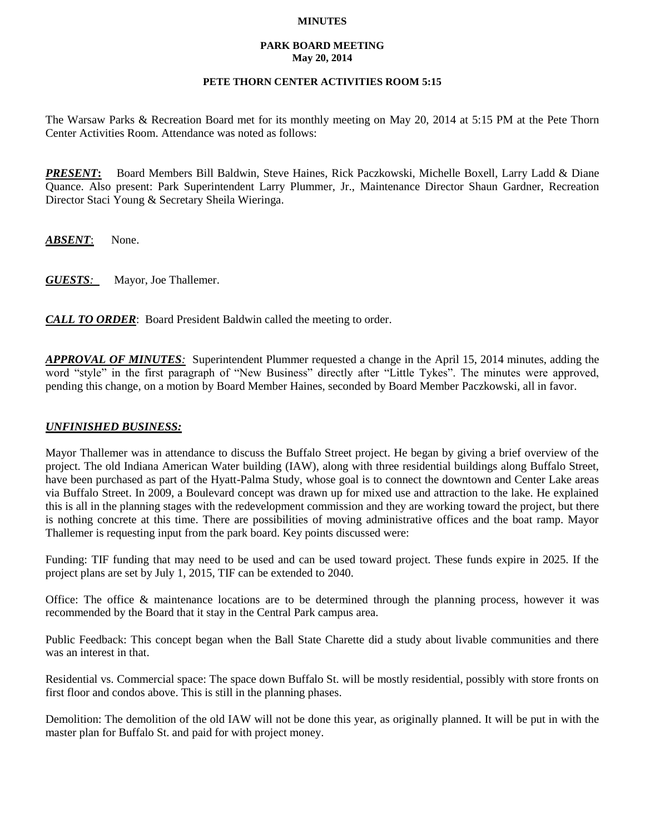#### **MINUTES**

#### **PARK BOARD MEETING May 20, 2014**

# **PETE THORN CENTER ACTIVITIES ROOM 5:15**

The Warsaw Parks & Recreation Board met for its monthly meeting on May 20, 2014 at 5:15 PM at the Pete Thorn Center Activities Room. Attendance was noted as follows:

*PRESENT***:** Board Members Bill Baldwin, Steve Haines, Rick Paczkowski, Michelle Boxell, Larry Ladd & Diane Quance. Also present: Park Superintendent Larry Plummer, Jr., Maintenance Director Shaun Gardner, Recreation Director Staci Young & Secretary Sheila Wieringa.

*ABSENT*: None.

*GUESTS:*Mayor, Joe Thallemer.

*CALL TO ORDER*: Board President Baldwin called the meeting to order.

*APPROVAL OF MINUTES:* Superintendent Plummer requested a change in the April 15, 2014 minutes, adding the word "style" in the first paragraph of "New Business" directly after "Little Tykes". The minutes were approved, pending this change, on a motion by Board Member Haines, seconded by Board Member Paczkowski, all in favor.

### *UNFINISHED BUSINESS:*

Mayor Thallemer was in attendance to discuss the Buffalo Street project. He began by giving a brief overview of the project. The old Indiana American Water building (IAW), along with three residential buildings along Buffalo Street, have been purchased as part of the Hyatt-Palma Study, whose goal is to connect the downtown and Center Lake areas via Buffalo Street. In 2009, a Boulevard concept was drawn up for mixed use and attraction to the lake. He explained this is all in the planning stages with the redevelopment commission and they are working toward the project, but there is nothing concrete at this time. There are possibilities of moving administrative offices and the boat ramp. Mayor Thallemer is requesting input from the park board. Key points discussed were:

Funding: TIF funding that may need to be used and can be used toward project. These funds expire in 2025. If the project plans are set by July 1, 2015, TIF can be extended to 2040.

Office: The office & maintenance locations are to be determined through the planning process, however it was recommended by the Board that it stay in the Central Park campus area.

Public Feedback: This concept began when the Ball State Charette did a study about livable communities and there was an interest in that.

Residential vs. Commercial space: The space down Buffalo St. will be mostly residential, possibly with store fronts on first floor and condos above. This is still in the planning phases.

Demolition: The demolition of the old IAW will not be done this year, as originally planned. It will be put in with the master plan for Buffalo St. and paid for with project money.